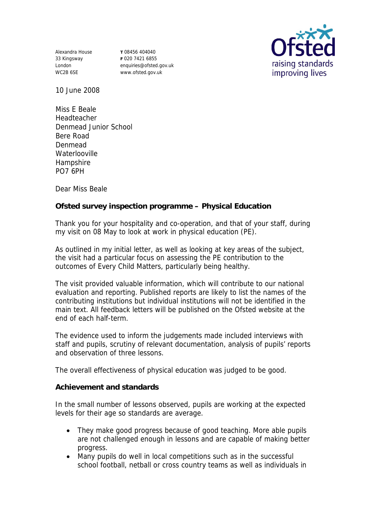Alexandra House 33 Kingsway London WC2B 6SE

**T** 08456 404040 **F** 020 7421 6855 enquiries@ofsted.gov.uk www.ofsted.gov.uk



10 June 2008

Miss E Beale Headteacher Denmead Junior School Bere Road Denmead **Waterlooville Hampshire** PO7 6PH

Dear Miss Beale

**Ofsted survey inspection programme – Physical Education**

Thank you for your hospitality and co-operation, and that of your staff, during my visit on 08 May to look at work in physical education (PE).

As outlined in my initial letter, as well as looking at key areas of the subject, the visit had a particular focus on assessing the PE contribution to the outcomes of Every Child Matters, particularly being healthy.

The visit provided valuable information, which will contribute to our national evaluation and reporting. Published reports are likely to list the names of the contributing institutions but individual institutions will not be identified in the main text. All feedback letters will be published on the Ofsted website at the end of each half-term.

The evidence used to inform the judgements made included interviews with staff and pupils, scrutiny of relevant documentation, analysis of pupils' reports and observation of three lessons.

The overall effectiveness of physical education was judged to be good.

**Achievement and standards** 

In the small number of lessons observed, pupils are working at the expected levels for their age so standards are average.

- They make good progress because of good teaching. More able pupils are not challenged enough in lessons and are capable of making better progress.
- Many pupils do well in local competitions such as in the successful school football, netball or cross country teams as well as individuals in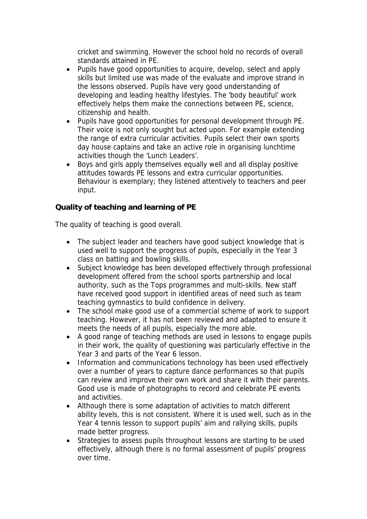cricket and swimming. However the school hold no records of overall standards attained in PE.

- Pupils have good opportunities to acquire, develop, select and apply skills but limited use was made of the evaluate and improve strand in the lessons observed. Pupils have very good understanding of developing and leading healthy lifestyles. The 'body beautiful' work effectively helps them make the connections between PE, science, citizenship and health.
- Pupils have good opportunities for personal development through PE. Their voice is not only sought but acted upon. For example extending the range of extra curricular activities. Pupils select their own sports day house captains and take an active role in organising lunchtime activities though the 'Lunch Leaders'.
- Boys and girls apply themselves equally well and all display positive attitudes towards PE lessons and extra curricular opportunities. Behaviour is exemplary; they listened attentively to teachers and peer input.

**Quality of teaching and learning of PE**

The quality of teaching is good overall.

- The subject leader and teachers have good subject knowledge that is used well to support the progress of pupils, especially in the Year 3 class on batting and bowling skills.
- Subject knowledge has been developed effectively through professional development offered from the school sports partnership and local authority, such as the Tops programmes and multi-skills. New staff have received good support in identified areas of need such as team teaching gymnastics to build confidence in delivery.
- The school make good use of a commercial scheme of work to support teaching. However, it has not been reviewed and adapted to ensure it meets the needs of all pupils, especially the more able.
- A good range of teaching methods are used in lessons to engage pupils in their work, the quality of questioning was particularly effective in the Year 3 and parts of the Year 6 lesson.
- Information and communications technology has been used effectively over a number of years to capture dance performances so that pupils can review and improve their own work and share it with their parents. Good use is made of photographs to record and celebrate PE events and activities.
- Although there is some adaptation of activities to match different ability levels, this is not consistent. Where it is used well, such as in the Year 4 tennis lesson to support pupils' aim and rallying skills, pupils made better progress.
- Strategies to assess pupils throughout lessons are starting to be used effectively, although there is no formal assessment of pupils' progress over time.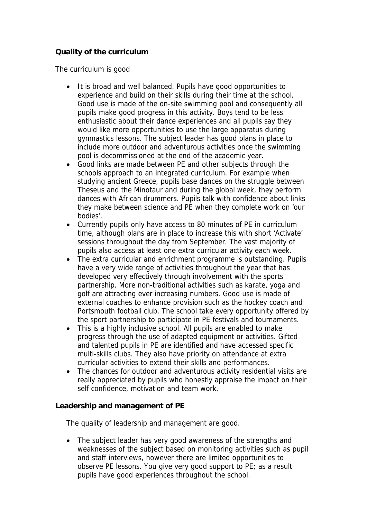## **Quality of the curriculum**

The curriculum is good

- It is broad and well balanced. Pupils have good opportunities to experience and build on their skills during their time at the school. Good use is made of the on-site swimming pool and consequently all pupils make good progress in this activity. Boys tend to be less enthusiastic about their dance experiences and all pupils say they would like more opportunities to use the large apparatus during gymnastics lessons. The subject leader has good plans in place to include more outdoor and adventurous activities once the swimming pool is decommissioned at the end of the academic year.
- Good links are made between PE and other subjects through the schools approach to an integrated curriculum. For example when studying ancient Greece, pupils base dances on the struggle between Theseus and the Minotaur and during the global week, they perform dances with African drummers. Pupils talk with confidence about links they make between science and PE when they complete work on 'our bodies'.
- Currently pupils only have access to 80 minutes of PE in curriculum time, although plans are in place to increase this with short 'Activate' sessions throughout the day from September. The vast majority of pupils also access at least one extra curricular activity each week.
- The extra curricular and enrichment programme is outstanding. Pupils have a very wide range of activities throughout the year that has developed very effectively through involvement with the sports partnership. More non-traditional activities such as karate, yoga and golf are attracting ever increasing numbers. Good use is made of external coaches to enhance provision such as the hockey coach and Portsmouth football club. The school take every opportunity offered by the sport partnership to participate in PE festivals and tournaments.
- This is a highly inclusive school. All pupils are enabled to make progress through the use of adapted equipment or activities. Gifted and talented pupils in PE are identified and have accessed specific multi-skills clubs. They also have priority on attendance at extra curricular activities to extend their skills and performances.
- The chances for outdoor and adventurous activity residential visits are really appreciated by pupils who honestly appraise the impact on their self confidence, motivation and team work.

**Leadership and management of PE**

The quality of leadership and management are good.

• The subject leader has very good awareness of the strengths and weaknesses of the subject based on monitoring activities such as pupil and staff interviews, however there are limited opportunities to observe PE lessons. You give very good support to PE; as a result pupils have good experiences throughout the school.